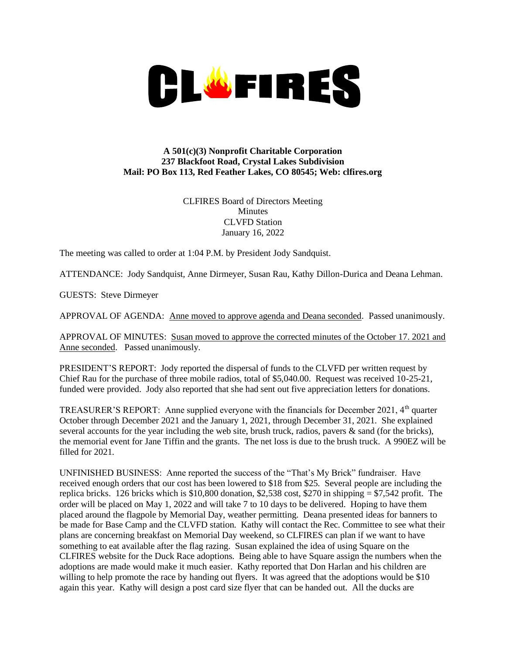

## **A 501(c)(3) Nonprofit Charitable Corporation 237 Blackfoot Road, Crystal Lakes Subdivision Mail: PO Box 113, Red Feather Lakes, CO 80545; Web: clfires.org**

CLFIRES Board of Directors Meeting **Minutes** CLVFD Station January 16, 2022

The meeting was called to order at 1:04 P.M. by President Jody Sandquist.

ATTENDANCE: Jody Sandquist, Anne Dirmeyer, Susan Rau, Kathy Dillon-Durica and Deana Lehman.

GUESTS: Steve Dirmeyer

APPROVAL OF AGENDA: Anne moved to approve agenda and Deana seconded. Passed unanimously.

APPROVAL OF MINUTES: Susan moved to approve the corrected minutes of the October 17. 2021 and Anne seconded. Passed unanimously.

PRESIDENT'S REPORT: Jody reported the dispersal of funds to the CLVFD per written request by Chief Rau for the purchase of three mobile radios, total of \$5,040.00. Request was received 10-25-21, funded were provided. Jody also reported that she had sent out five appreciation letters for donations.

TREASURER'S REPORT: Anne supplied everyone with the financials for December 2021,  $4<sup>th</sup>$  quarter October through December 2021 and the January 1, 2021, through December 31, 2021. She explained several accounts for the year including the web site, brush truck, radios, pavers & sand (for the bricks), the memorial event for Jane Tiffin and the grants. The net loss is due to the brush truck. A 990EZ will be filled for 2021.

UNFINISHED BUSINESS: Anne reported the success of the "That's My Brick" fundraiser. Have received enough orders that our cost has been lowered to \$18 from \$25. Several people are including the replica bricks. 126 bricks which is \$10,800 donation, \$2,538 cost, \$270 in shipping = \$7,542 profit. The order will be placed on May 1, 2022 and will take 7 to 10 days to be delivered. Hoping to have them placed around the flagpole by Memorial Day, weather permitting. Deana presented ideas for banners to be made for Base Camp and the CLVFD station. Kathy will contact the Rec. Committee to see what their plans are concerning breakfast on Memorial Day weekend, so CLFIRES can plan if we want to have something to eat available after the flag razing. Susan explained the idea of using Square on the CLFIRES website for the Duck Race adoptions. Being able to have Square assign the numbers when the adoptions are made would make it much easier. Kathy reported that Don Harlan and his children are willing to help promote the race by handing out flyers. It was agreed that the adoptions would be \$10 again this year. Kathy will design a post card size flyer that can be handed out. All the ducks are